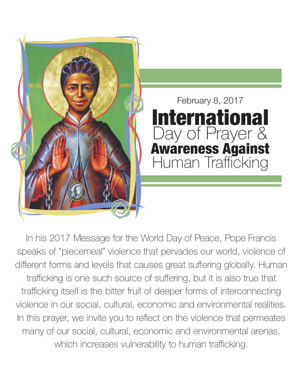

In his 2017 Message for the World Day of Peace, Pope Francis speaks of "piecemeal" violence that pervades our world, violence of different forms and levels that causes great suffering globally. Human trafficking is one such source of suffering, but it is also true that trafficking itself is the bitter fruit of deeper forms of interconnecting violence in our social, cultural, economic and environmental realities. In this prayer, we invite you to reflect on the violence that permeates many of our social, cultural, economic and environmental arenas, which increases vulnerability to human trafficking.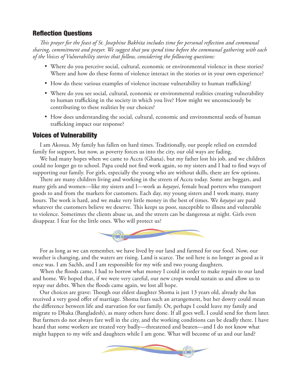## **Reflection Questions**

*This prayer for the feast of St. Josephine Bakhita includes time for personal reflection and communal sharing, commitment and prayer. We suggest that you spend time before the communal gathering with each of the Voices of Vulnerability stories that follow, considering the following questions:*

- % Where do you perceive social, cultural, economic or environmental violence in these stories? Where and how do these forms of violence interact in the stories or in your own experience?
- % How do these various examples of violence increase vulnerability to human trafficking?
- % Where do you see social, cultural, economic or environmental realities creating vulnerability to human trafficking in the society in which you live? How might we unconsciously be contributing to these realities by our choices?
- % How does understanding the social, cultural, economic and environmental seeds of human trafficking impact our response?

### Voices of Vulnerability

I am Akosua. My family has fallen on hard times. Traditionally, our people relied on extended family for support, but now, as poverty forces us into the city, our old ways are fading.

We had many hopes when we came to Accra (Ghana), but my father lost his job, and we children could no longer go to school. Papa could not find work again, so my sisters and I had to find ways of supporting our family. For girls, especially the young who are without skills, there are few options.

There are many children living and working in the streets of Accra today. Some are beggars, and many girls and women—like my sisters and I—work as *kayayei*, female head porters who transport goods to and from the markets for customers. Each day, my young sisters and I work many, many hours. The work is hard, and we make very little money in the best of times. We *kayayei* are paid whatever the customers believe we deserve. This keeps us poor, susceptible to illness and vulnerable to violence. Sometimes the clients abuse us, and the streets can be dangerous at night. Girls even disappear. I fear for the little ones. Who will protect us?



For as long as we can remember, we have lived by our land and farmed for our food. Now, our weather is changing, and the waters are rising. Land is scarce. The soil here is no longer as good as it once was. I am Sachh, and I am responsible for my wife and two young daughters.

When the floods came, I had to borrow what money I could in order to make repairs to our land and home. We hoped that, if we were very careful, our new crops would sustain us and allow us to repay our debts. When the floods came again, we lost all hope.

Our choices are grave: Though our eldest daughter Shoma is just 13 years old, already she has received a very good offer of marriage. Shoma fears such an arrangement, but her dowry could mean the difference between life and starvation for our family. Or, perhaps I could leave my family and migrate to Dhaka (Bangladesh), as many others have done. If all goes well, I could send for them later. But farmers do not always fare well in the city, and the working conditions can be deadly there. I have heard that some workers are treated very badly—threatened and beaten—and I do not know what might happen to my wife and daughters while I am gone. What will become of us and our land?

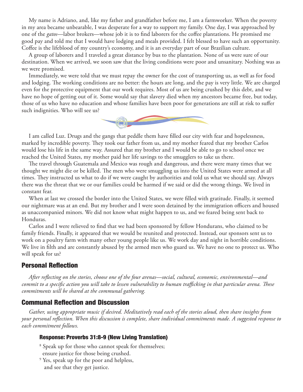My name is Adriano, and, like my father and grandfather before me, I am a farmworker. When the poverty in my area became unbearable, I was desperate for a way to support my family. One day, I was approached by one of the *gatos*—labor brokers—whose job it is to find laborers for the coffee plantations. He promised me good pay and told me that I would have lodging and meals provided. I felt blessed to have such an opportunity. Coffee is the lifeblood of my country's economy, and it is an everyday part of our Brazilian culture.

A group of laborers and I traveled a great distance by bus to the plantation. None of us were sure of our destination. When we arrived, we soon saw that the living conditions were poor and unsanitary. Nothing was as we were promised.

Immediately, we were told that we must repay the owner for the cost of transporting us, as well as for food and lodging. The working conditions are no better: the hours are long, and the pay is very little. We are charged even for the protective equipment that our work requires. Most of us are being crushed by this debt, and we have no hope of getting out of it. Some would say that slavery died when my ancestors became free, but today, those of us who have no education and whose families have been poor for generations are still at risk to suffer such indignities. Who will see us?



I am called Luz. Drugs and the gangs that peddle them have filled our city with fear and hopelessness, marked by incredible poverty. They took our father from us, and my mother feared that my brother Carlos would lose his life in the same way. Assured that my brother and I would be able to go to school once we reached the United States, my mother paid her life savings to the smugglers to take us there.

The travel through Guatemala and Mexico was rough and dangerous, and there were many times that we thought we might die or be killed. The men who were smuggling us into the United States were armed at all times. They instructed us what to do if we were caught by authorities and told us what we should say. Always there was the threat that we or our families could be harmed if we said or did the wrong things. We lived in constant fear.

When at last we crossed the border into the United States, we were filled with gratitude. Finally, it seemed our nightmare was at an end. But my brother and I were soon detained by the immigration officers and housed as unaccompanied minors. We did not know what might happen to us, and we feared being sent back to Honduras.

Carlos and I were relieved to find that we had been sponsored by fellow Hondurans, who claimed to be family friends. Finally, it appeared that we would be reunited and protected. Instead, our sponsors sent us to work on a poultry farm with many other young people like us. We work day and night in horrible conditions. We live in filth and are constantly abused by the armed men who guard us. We have no one to protect us. Who will speak for us?

## **Personal Reflection**

*After reflecting on the stories, choose one of the four arenas—social, cultural, economic, environmental—and commit to a specific action you will take to lessen vulnerability to human trafficking in that particular arena. These commitments will be shared at the communal gathering.*

### **Communal Reflection and Discussion**

*Gather, using appropriate music if desired. Meditatively read each of the stories aloud, then share insights from your personal reflection. When this discussion is complete, share individual commitments made. A suggested response to each commitment follows.* 

#### Response: Proverbs 31:8-9 (New Living Translation)

- 8 Speak up for those who cannot speak for themselves;
- ensure justice for those being crushed.
- 9 Yes, speak up for the poor and helpless, and see that they get justice.